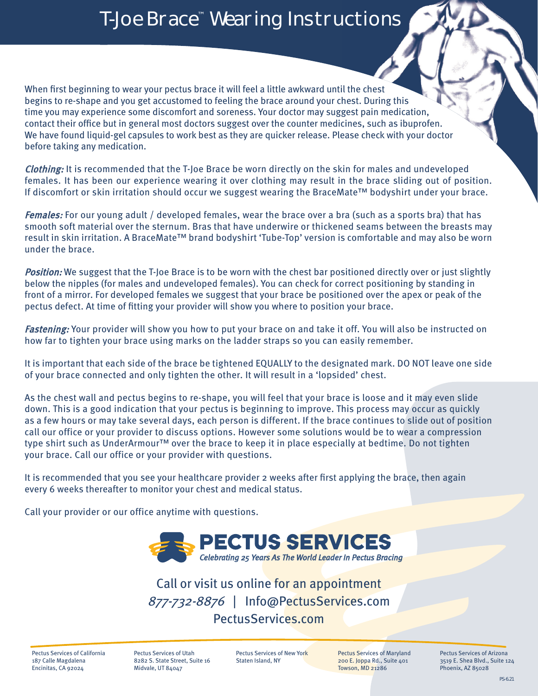## T-Joe Brace™ Wearing Instructions

When first beginning to wear your pectus brace it will feel a little awkward until the chest begins to re-shape and you get accustomed to feeling the brace around your chest. During this time you may experience some discomfort and soreness. Your doctor may suggest pain medication, contact their office but in general most doctors suggest over the counter medicines, such as ibuprofen. We have found liquid-gel capsules to work best as they are quicker release. Please check with your doctor before taking any medication.

Clothing: It is recommended that the T-Joe Brace be worn directly on the skin for males and undeveloped females. It has been our experience wearing it over clothing may result in the brace sliding out of position. If discomfort or skin irritation should occur we suggest wearing the BraceMate™ bodyshirt under your brace.

Females: For our young adult / developed females, wear the brace over a bra (such as a sports bra) that has smooth soft material over the sternum. Bras that have underwire or thickened seams between the breasts may result in skin irritation. A BraceMate™ brand bodyshirt 'Tube-Top' version is comfortable and may also be worn under the brace.

Position: We suggest that the T-Joe Brace is to be worn with the chest bar positioned directly over or just slightly below the nipples (for males and undeveloped females). You can check for correct positioning by standing in front of a mirror. For developed females we suggest that your brace be positioned over the apex or peak of the pectus defect. At time of fitting your provider will show you where to position your brace.

Fastening: Your provider will show you how to put your brace on and take it off. You will also be instructed on how far to tighten your brace using marks on the ladder straps so you can easily remember.

It is important that each side of the brace be tightened EQUALLY to the designated mark. DO NOT leave one side of your brace connected and only tighten the other. It will result in a 'lopsided' chest.

As the chest wall and pectus begins to re-shape, you will feel that your brace is loose and it may even slide down. This is a good indication that your pectus is beginning to improve. This process may occur as quickly as a few hours or may take several days, each person is different. If the brace continues to slide out of position call our office or your provider to discuss options. However some solutions would be to wear a compression type shirt such as UnderArmour™ over the brace to keep it in place especially at bedtime. Do not tighten your brace. Call our office or your provider with questions.

It is recommended that you see your healthcare provider 2 weeks after first applying the brace, then again every 6 weeks thereafter to monitor your chest and medical status.

Call your provider or our office anytime with questions.



Call or visit us online for an appointment 877-732-8876 | Info@PectusServices.com PectusServices.com

Pectus Services of California 187 Calle Magdalena Encinitas, CA 92024

Pectus Services of Utah 8282 S. State Street, Suite 16 Midvale, UT 84047

Pectus Services of New York Staten Island, NY

Pectus Services of Maryland 200 E. Joppa Rd., Suite 401 Towson, MD 21286

Pectus Services of Arizona 3519 E. Shea Blvd., Suite 124 Phoenix, AZ 85028